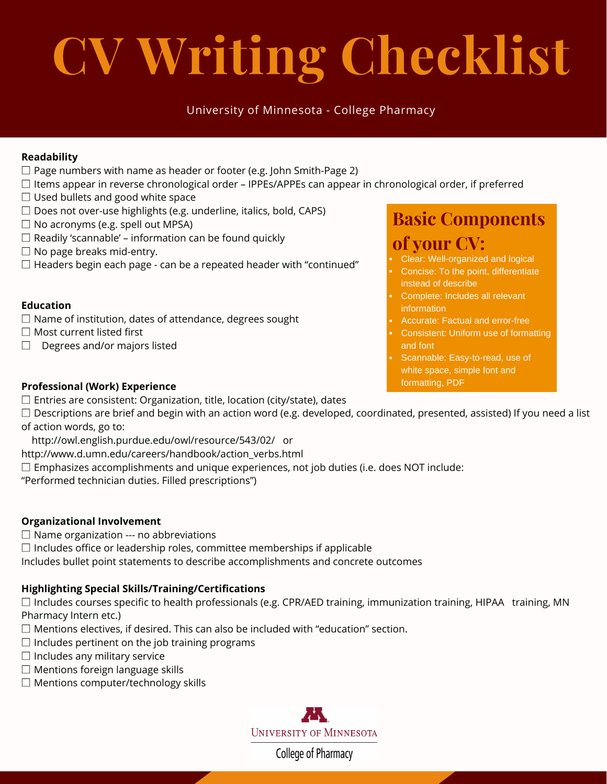# **CV Writing Checklist**

### University of Minnesota - College Pharmacy

### **Readability**

- $\square$  Page numbers with name as header or footer (e.g. John Smith-Page 2)
- $\square$  Items appear in reverse chronological order IPPEs/APPEs can appear in chronological order, if preferred
- $\Box$  Used bullets and good white space
- $\square$  Does not over-use highlights (e.g. underline, italics, bold, CAPS)
- $\square$  No acronyms (e.g. spell out MPSA)
- $\square$  Readily 'scannable' information can be found quickly
- $\Box$  No page breaks mid-entry.
- $\square$  Headers begin each page can be a repeated header with "continued"

### **Education**

- $\square$  Name of institution, dates of attendance, degrees sought
- □ Most current listed first
- $\Box$  Degrees and/or majors listed

### **Basic Components of your CV:**

- Clear: Well-organized and logical
- Concise: To the point, differentiate instead of describe
- Complete: Includes all relevant information
- Accurate: Factual and error-free
- Consistent: Uniform use of formatting and font
- Scannable: Easy-to-read, use of white space, simple font and formatting, PDF

### **Professional (Work) Experience**

- $\square$  Entries are consistent: Organization, title, location (city/state), dates
- $\Box$  Descriptions are brief and begin with an action word (e.g. developed, coordinated, presented, assisted) If you need a list of action words, go to:
- http://owl.english.purdue.edu/owl/resource/543/02/ or
- http://www.d.umn.edu/careers/handbook/action\_verbs.html
- $\square$  Emphasizes accomplishments and unique experiences, not job duties (i.e. does NOT include:

"Performed technician duties. Filled prescriptions")

### **Organizational Involvement**

- $\square$  Name organization --- no abbreviations
- $\square$  Includes office or leadership roles, committee memberships if applicable

Includes bullet point statements to describe accomplishments and concrete outcomes

### **Highlighting Special Skills/Training/Certifications**

 $\square$  Includes courses specific to health professionals (e.g. CPR/AED training, immunization training, HIPAA training, MN Pharmacy Intern etc.)

- $\square$  Mentions electives, if desired. This can also be included with "education" section.
- $\square$  Includes pertinent on the job training programs
- $\Box$  Includes any military service
- $\square$  Mentions foreign language skills
- □ Mentions computer/technology skills



College of Pharmacy